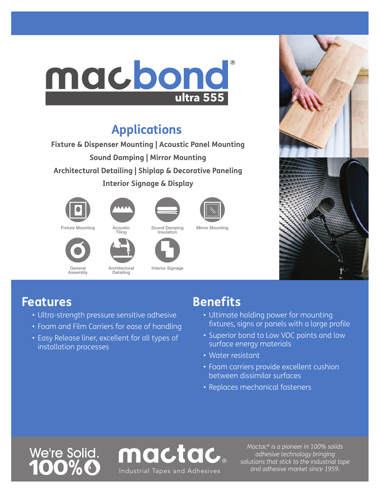

## **Applications**

**Fixture & Dispenser Mounting | Acoustic Panel Mounting Sound Damping | Mirror Mounting Architectural Detailing | Shiplap & Decorative Paneling Interior Signage & Display**



Fixture Mounting

General Assembly



Acoustic<br>Tiling

Architectural Detailing



Interior Signage

mactac.



Sound Damping Insulation

Mirror Mounting



### **Features**

- Ultra-strength pressure sensitive adhesive
- Foam and Film Carriers for ease of handling
- Easy Release liner, excellent for all types of installation processes

## **Benefits**

- Ultimate holding power for mounting fixtures, signs or panels with a large profile
- Superior bond to Low VOC paints and low surface energy materials
- Water resistant
- Foam carriers provide excellent cushion between dissimilar surfaces
- Replaces mechanical fasteners

# We're Solid.

*Mactac® is a pioneer in 100% solids adhesive technology bringing solutions that stick to the industrial tape and adhesive market since 1959.* Industrial Tapes and Adhesives